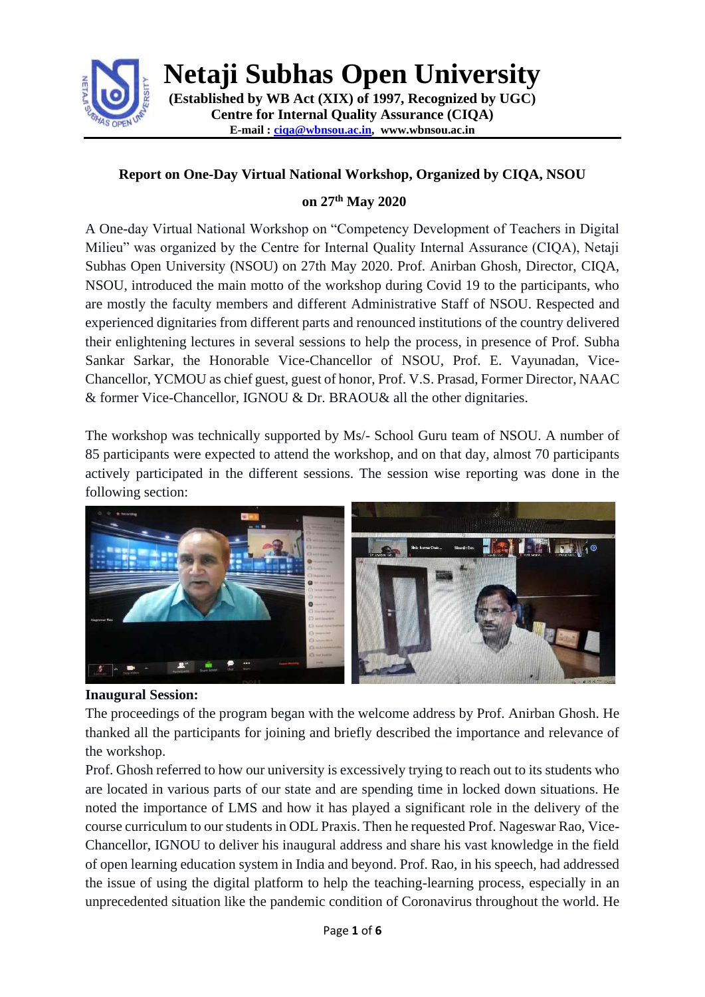

**Netaji Subhas Open University**

**(Established by WB Act (XIX) of 1997, Recognized by UGC) Centre for Internal Quality Assurance (CIQA) E-mail : [ciqa@wbnsou.ac.in,](mailto:ciqa@wbnsou.ac.in) [www.wbnsou.ac.in](http://www.wbnsou.ac.in/)**

# **Report on One-Day Virtual National Workshop, Organized by CIQA, NSOU**

# **on 27th May 2020**

A One-day Virtual National Workshop on "Competency Development of Teachers in Digital Milieu" was organized by the Centre for Internal Quality Internal Assurance (CIQA), Netaji Subhas Open University (NSOU) on 27th May 2020. Prof. Anirban Ghosh, Director, CIQA, NSOU, introduced the main motto of the workshop during Covid 19 to the participants, who are mostly the faculty members and different Administrative Staff of NSOU. Respected and experienced dignitaries from different parts and renounced institutions of the country delivered their enlightening lectures in several sessions to help the process, in presence of Prof. Subha Sankar Sarkar, the Honorable Vice-Chancellor of NSOU, Prof. E. Vayunadan, Vice-Chancellor, YCMOU as chief guest, guest of honor, Prof. V.S. Prasad, Former Director, NAAC & former Vice-Chancellor, IGNOU & Dr. BRAOU& all the other dignitaries.

The workshop was technically supported by Ms/- School Guru team of NSOU. A number of 85 participants were expected to attend the workshop, and on that day, almost 70 participants actively participated in the different sessions. The session wise reporting was done in the following section:



### **Inaugural Session:**

The proceedings of the program began with the welcome address by Prof. Anirban Ghosh. He thanked all the participants for joining and briefly described the importance and relevance of the workshop.

Prof. Ghosh referred to how our university is excessively trying to reach out to its students who are located in various parts of our state and are spending time in locked down situations. He noted the importance of LMS and how it has played a significant role in the delivery of the course curriculum to our students in ODL Praxis. Then he requested Prof. Nageswar Rao, Vice-Chancellor, IGNOU to deliver his inaugural address and share his vast knowledge in the field of open learning education system in India and beyond. Prof. Rao, in his speech, had addressed the issue of using the digital platform to help the teaching-learning process, especially in an unprecedented situation like the pandemic condition of Coronavirus throughout the world. He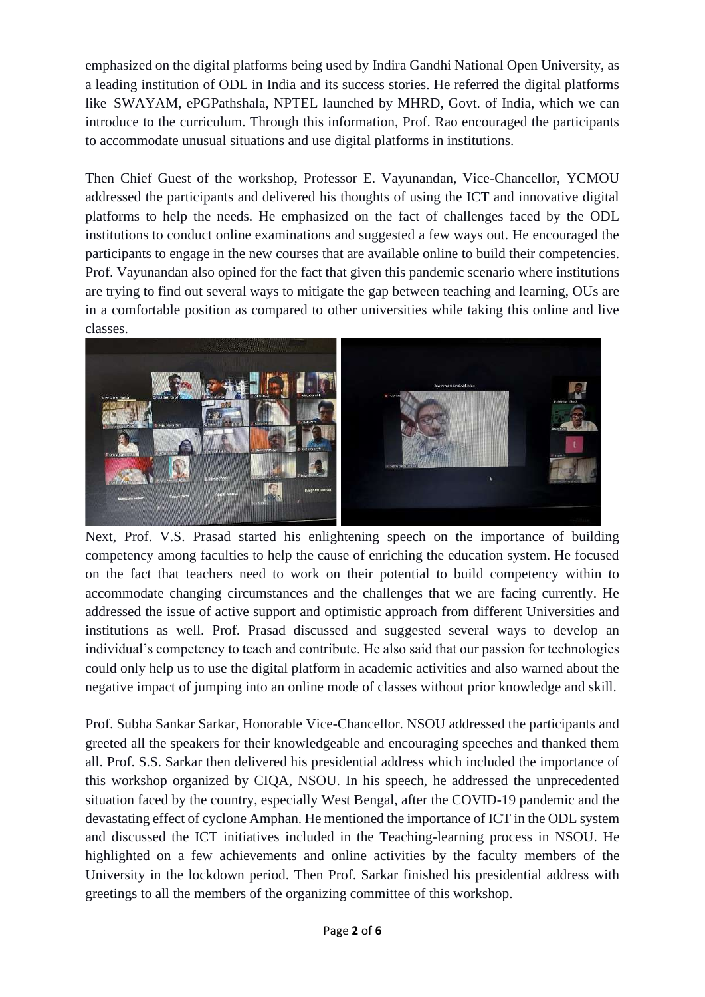emphasized on the digital platforms being used by Indira Gandhi National Open University, as a leading institution of ODL in India and its success stories. He referred the digital platforms like SWAYAM, ePGPathshala, NPTEL launched by MHRD, Govt. of India, which we can introduce to the curriculum. Through this information, Prof. Rao encouraged the participants to accommodate unusual situations and use digital platforms in institutions.

Then Chief Guest of the workshop, Professor E. Vayunandan, Vice-Chancellor, YCMOU addressed the participants and delivered his thoughts of using the ICT and innovative digital platforms to help the needs. He emphasized on the fact of challenges faced by the ODL institutions to conduct online examinations and suggested a few ways out. He encouraged the participants to engage in the new courses that are available online to build their competencies. Prof. Vayunandan also opined for the fact that given this pandemic scenario where institutions are trying to find out several ways to mitigate the gap between teaching and learning, OUs are in a comfortable position as compared to other universities while taking this online and live classes.



Next, Prof. V.S. Prasad started his enlightening speech on the importance of building competency among faculties to help the cause of enriching the education system. He focused on the fact that teachers need to work on their potential to build competency within to accommodate changing circumstances and the challenges that we are facing currently. He addressed the issue of active support and optimistic approach from different Universities and institutions as well. Prof. Prasad discussed and suggested several ways to develop an individual's competency to teach and contribute. He also said that our passion for technologies could only help us to use the digital platform in academic activities and also warned about the negative impact of jumping into an online mode of classes without prior knowledge and skill.

Prof. Subha Sankar Sarkar, Honorable Vice-Chancellor. NSOU addressed the participants and greeted all the speakers for their knowledgeable and encouraging speeches and thanked them all. Prof. S.S. Sarkar then delivered his presidential address which included the importance of this workshop organized by CIQA, NSOU. In his speech, he addressed the unprecedented situation faced by the country, especially West Bengal, after the COVID-19 pandemic and the devastating effect of cyclone Amphan. He mentioned the importance of ICT in the ODL system and discussed the ICT initiatives included in the Teaching-learning process in NSOU. He highlighted on a few achievements and online activities by the faculty members of the University in the lockdown period. Then Prof. Sarkar finished his presidential address with greetings to all the members of the organizing committee of this workshop.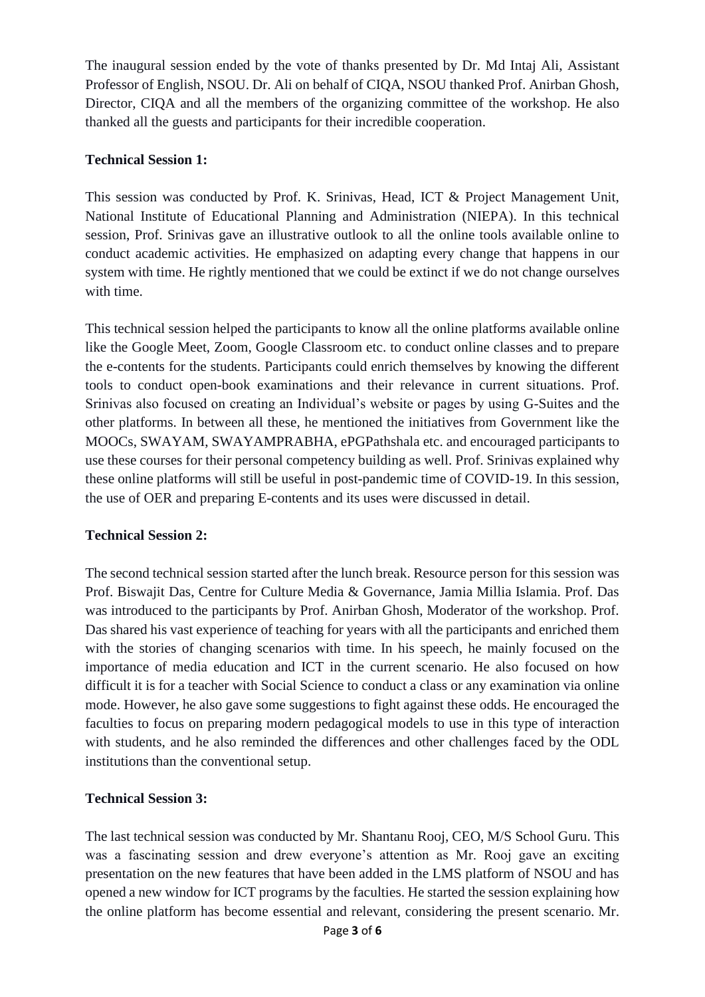The inaugural session ended by the vote of thanks presented by Dr. Md Intaj Ali, Assistant Professor of English, NSOU. Dr. Ali on behalf of CIQA, NSOU thanked Prof. Anirban Ghosh, Director, CIQA and all the members of the organizing committee of the workshop. He also thanked all the guests and participants for their incredible cooperation.

# **Technical Session 1:**

This session was conducted by Prof. K. Srinivas, Head, ICT & Project Management Unit, National Institute of Educational Planning and Administration (NIEPA). In this technical session, Prof. Srinivas gave an illustrative outlook to all the online tools available online to conduct academic activities. He emphasized on adapting every change that happens in our system with time. He rightly mentioned that we could be extinct if we do not change ourselves with time.

This technical session helped the participants to know all the online platforms available online like the Google Meet, Zoom, Google Classroom etc. to conduct online classes and to prepare the e-contents for the students. Participants could enrich themselves by knowing the different tools to conduct open-book examinations and their relevance in current situations. Prof. Srinivas also focused on creating an Individual's website or pages by using G-Suites and the other platforms. In between all these, he mentioned the initiatives from Government like the MOOCs, SWAYAM, SWAYAMPRABHA, ePGPathshala etc. and encouraged participants to use these courses for their personal competency building as well. Prof. Srinivas explained why these online platforms will still be useful in post-pandemic time of COVID-19. In this session, the use of OER and preparing E-contents and its uses were discussed in detail.

### **Technical Session 2:**

The second technical session started after the lunch break. Resource person for this session was Prof. Biswajit Das, Centre for Culture Media & Governance, Jamia Millia Islamia. Prof. Das was introduced to the participants by Prof. Anirban Ghosh, Moderator of the workshop. Prof. Das shared his vast experience of teaching for years with all the participants and enriched them with the stories of changing scenarios with time. In his speech, he mainly focused on the importance of media education and ICT in the current scenario. He also focused on how difficult it is for a teacher with Social Science to conduct a class or any examination via online mode. However, he also gave some suggestions to fight against these odds. He encouraged the faculties to focus on preparing modern pedagogical models to use in this type of interaction with students, and he also reminded the differences and other challenges faced by the ODL institutions than the conventional setup.

### **Technical Session 3:**

The last technical session was conducted by Mr. Shantanu Rooj, CEO, M/S School Guru. This was a fascinating session and drew everyone's attention as Mr. Rooj gave an exciting presentation on the new features that have been added in the LMS platform of NSOU and has opened a new window for ICT programs by the faculties. He started the session explaining how the online platform has become essential and relevant, considering the present scenario. Mr.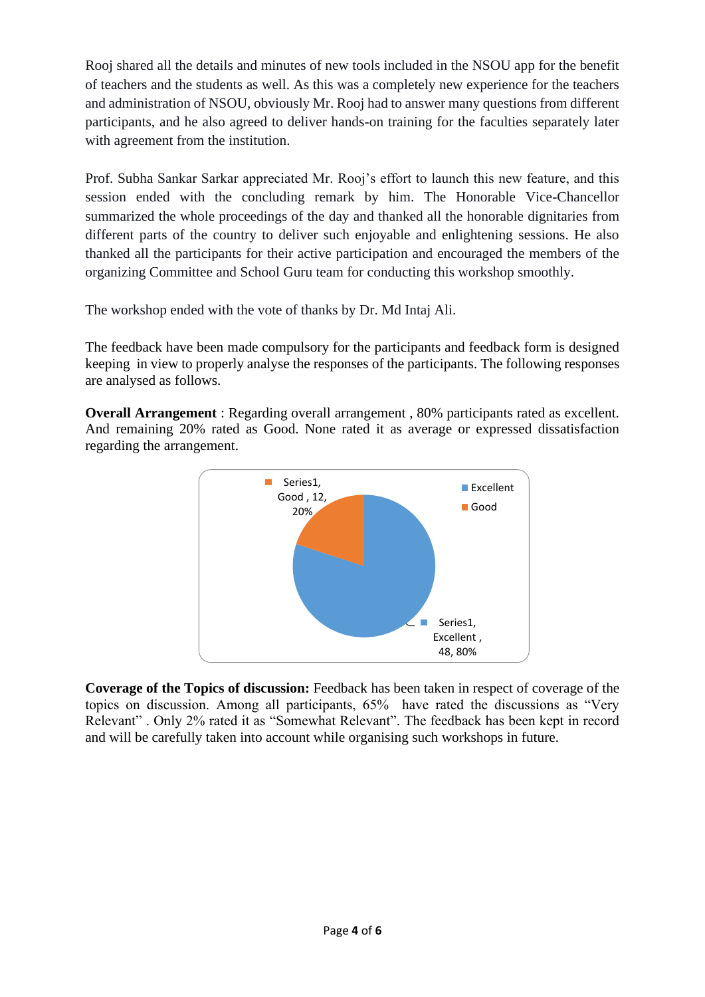Rooj shared all the details and minutes of new tools included in the NSOU app for the benefit of teachers and the students as well. As this was a completely new experience for the teachers and administration of NSOU, obviously Mr. Rooj had to answer many questions from different participants, and he also agreed to deliver hands-on training for the faculties separately later with agreement from the institution.

Prof. Subha Sankar Sarkar appreciated Mr. Rooj's effort to launch this new feature, and this session ended with the concluding remark by him. The Honorable Vice-Chancellor summarized the whole proceedings of the day and thanked all the honorable dignitaries from different parts of the country to deliver such enjoyable and enlightening sessions. He also thanked all the participants for their active participation and encouraged the members of the organizing Committee and School Guru team for conducting this workshop smoothly.

The workshop ended with the vote of thanks by Dr. Md Intaj Ali.

The feedback have been made compulsory for the participants and feedback form is designed keeping in view to properly analyse the responses of the participants. The following responses are analysed as follows.

**Overall Arrangement** : Regarding overall arrangement, 80% participants rated as excellent. And remaining 20% rated as Good. None rated it as average or expressed dissatisfaction regarding the arrangement.



**Coverage of the Topics of discussion:** Feedback has been taken in respect of coverage of the topics on discussion. Among all participants, 65% have rated the discussions as "Very Relevant" . Only 2% rated it as "Somewhat Relevant". The feedback has been kept in record and will be carefully taken into account while organising such workshops in future.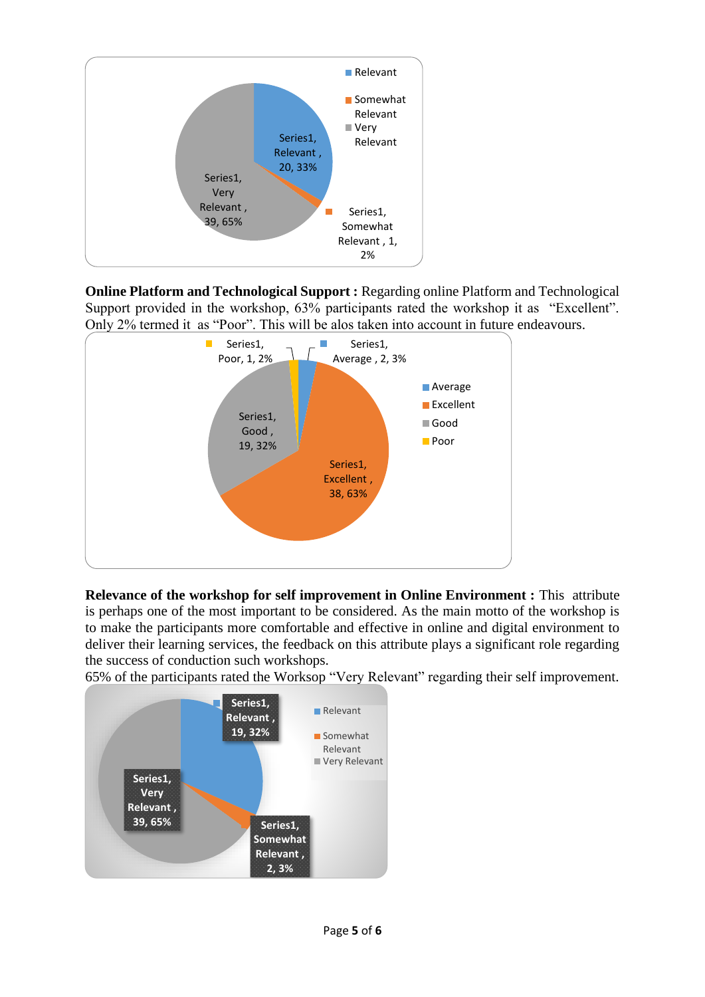

**Online Platform and Technological Support :** Regarding online Platform and Technological Support provided in the workshop, 63% participants rated the workshop it as "Excellent". Only 2% termed it as "Poor". This will be alos taken into account in future endeavours.



**Relevance of the workshop for self improvement in Online Environment :** This attribute is perhaps one of the most important to be considered. As the main motto of the workshop is to make the participants more comfortable and effective in online and digital environment to deliver their learning services, the feedback on this attribute plays a significant role regarding the success of conduction such workshops.

65% of the participants rated the Worksop "Very Relevant" regarding their self improvement.